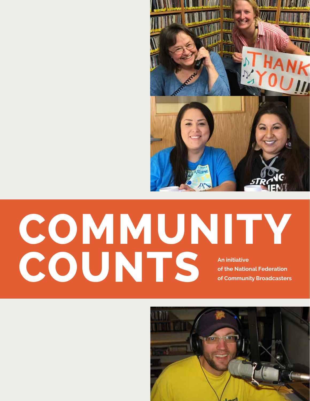

# **COMMUNITY COUNTS** An initiative of the Natio **of the National Federation of Community Broadcasters**

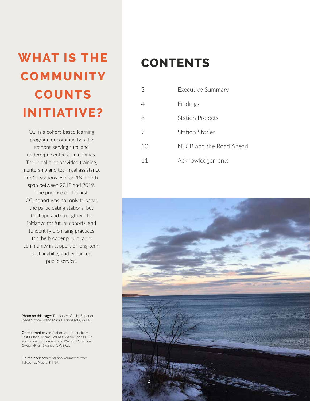## **WHAT IS THE CONTENTS COMMUNITY COUNTS INITIATIVE?**

CCI is a cohort-based learning program for community radio stations serving rural and underrepresented communities. The initial pilot provided training, mentorship and technical assistance for 10 stations over an 18-month span between 2018 and 2019. The purpose of this first CCI cohort was not only to serve the participating stations, but to shape and strengthen the initiative for future cohorts, and to identify promising practices for the broader public radio community in support of long-term sustainability and enhanced public service.

Photo on this page: The shore of Lake Superior viewed from Grand Marais, Minnesota, WTIP.

On the front cover: Station volunteers from East Orland, Maine, WERU; Warm Springs, Oregon community members, KWSO; DJ Prince I Gwaan (Ryan Swanson), WERU.

On the back cover: Station volunteers from Talkeetna, Alaska, KTNA.

| 3  | Executive Summary       |
|----|-------------------------|
| 4  | Findings                |
| К  | <b>Station Projects</b> |
| 7  | Station Stories         |
| 10 | NFCB and the Road Ahead |
| 11 | Acknowledgements        |

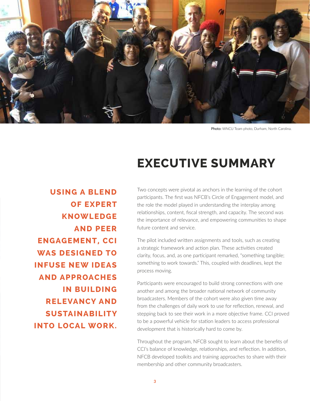

Photo: WNCU Team photo, Durham, North Carolina.

### **EXECUTIVE SUMMARY**

**USING A BLEND OF EXPERT KNOWLEDGE AND PEER ENGAGEMENT, CCI WAS DESIGNED TO INFUSE NEW IDEAS AND APPROACHES IN BUILDING RELEVANCY AND SUSTAINABILITY INTO LOCAL WORK.** 

Two concepts were pivotal as anchors in the learning of the cohort participants. The first was NFCB's Circle of Engagement model, and the role the model played in understanding the interplay among relationships, content, fiscal strength, and capacity. The second was the importance of relevance, and empowering communities to shape future content and service.

The pilot included written assignments and tools, such as creating a strategic framework and action plan. These activities created clarity, focus, and, as one participant remarked, "something tangible; something to work towards." This, coupled with deadlines, kept the process moving.

Participants were encouraged to build strong connections with one another and among the broader national network of community broadcasters. Members of the cohort were also given time away from the challenges of daily work to use for reflection, renewal, and stepping back to see their work in a more objective frame. CCI proved to be a powerful vehicle for station leaders to access professional development that is historically hard to come by.

Throughout the program, NFCB sought to learn about the benefits of CCI's balance of knowledge, relationships, and reflection. In addition, NFCB developed toolkits and training approaches to share with their membership and other community broadcasters.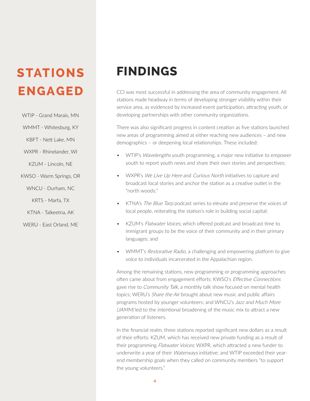### **STATIONS ENGAGED**

WTIP - Grand Marais, MN

WMMT - Whitesburg, KY

KBFT - Nett Lake, MN

WXPR - Rhinelander, WI

KZUM - Lincoln, NE

KWSO - Warm Springs, OR

WNCU - Durham, NC

KRTS - Marfa, TX

KTNA - Talkeetna, AK

WERU - East Orland, ME

### **FINDINGS**

CCI was most successful in addressing the area of community engagement. All stations made headway in terms of developing stronger visibility within their service area, as evidenced by increased event participation, attracting youth, or developing partnerships with other community organizations.

There was also significant progress in content creation as five stations launched new areas of programming aimed at either reaching new audiences – and new demographics – or deepening local relationships. These included:

- WTIP's *Wavelengths* youth programming, a major new initiative to empower youth to report youth news and share their own stories and perspectives;
- WXPR's We Live Up Here and Curious North initiatives to capture and broadcast local stories and anchor the station as a creative outlet in the "north woods;"
- KTNA's The Blue Tarp podcast series to elevate and preserve the voices of local people, reiterating the station's role in building social capital;
- KZUM's Flatwater Voices, which offered podcast and broadcast time to immigrant groups to be the voice of their community and in their primary languages; and
- WMMT's *Restorative Radio*, a challenging and empowering platform to give voice to individuals incarcerated in the Appalachian region.

Among the remaining stations, new programming or programming approaches often came about from engagement efforts: KWSO's Effective Connections gave rise to *Community Talk*, a monthly talk show focused on mental health topics; WERU's Share the Air brought about new music and public affairs programs hosted by younger volunteers; and WNCU's Jazz and Much More (JAMM) led to the intentional broadening of the music mix to attract a new generation of listeners.

In the financial realm, three stations reported significant new dollars as a result of their efforts: KZUM, which has received new private funding as a result of their programming Flatwater Voices; WXPR, which attracted a new funder to underwrite a year of their *Waterways* initiative; and WTIP exceeded their yearend membership goals when they called on community members "to support the young volunteers."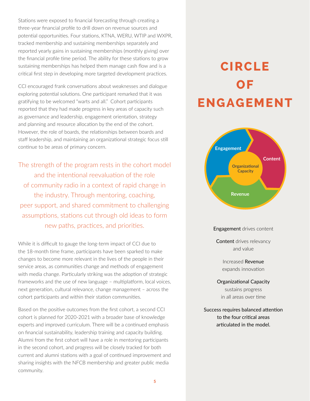Stations were exposed to financial forecasting through creating a three-year financial profile to drill down on revenue sources and potential opportunities. Four stations, KTNA, WERU, WTIP and WXPR, tracked membership and sustaining memberships separately and reported yearly gains in sustaining memberships (monthly giving) over the financial profile time period. The ability for these stations to grow sustaining memberships has helped them manage cash flow and is a critical first step in developing more targeted development practices.

CCI encouraged frank conversations about weaknesses and dialogue exploring potential solutions. One participant remarked that it was gratifying to be welcomed "warts and all." Cohort participants reported that they had made progress in key areas of capacity such as governance and leadership, engagement orientation, strategy and planning and resource allocation by the end of the cohort. However, the role of boards, the relationships between boards and staff leadership, and maintaining an organizational strategic focus still continue to be areas of primary concern.

The strength of the program rests in the cohort model and the intentional reevaluation of the role of community radio in a context of rapid change in the industry. Through mentoring, coaching, peer support, and shared commitment to challenging assumptions, stations cut through old ideas to form new paths, practices, and priorities.

While it is difficult to gauge the long-term impact of CCI due to the 18-month time frame, participants have been sparked to make changes to become more relevant in the lives of the people in their service areas, as communities change and methods of engagement with media change. Particularly striking was the adoption of strategic frameworks and the use of new language – multiplatform, local voices, next generation, cultural relevance, change management – across the cohort participants and within their station communities.

Based on the positive outcomes from the first cohort, a second CCI cohort is planned for 2020-2021 with a broader base of knowledge experts and improved curriculum. There will be a continued emphasis on financial sustainability, leadership training and capacity building. Alumni from the first cohort will have a role in mentoring participants in the second cohort, and progress will be closely tracked for both current and alumni stations with a goal of continued improvement and sharing insights with the NFCB membership and greater public media community.

### **CIRCLE OF ENGAGEMENT**



Content drives relevancy and value

> Increased Revenue expands innovation

Organizational Capacity sustains progress in all areas over time

Success requires balanced attention to the four critical areas articulated in the model.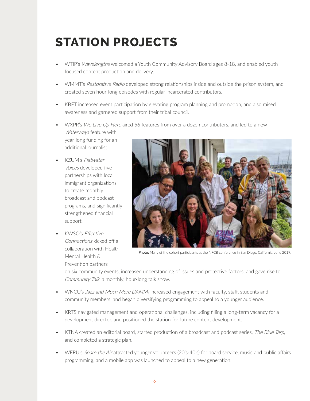### **STATION PROJECTS**

- WTIP's Wavelengths welcomed a Youth Community Advisory Board ages 8-18, and enabled youth focused content production and delivery.
- WMMT's Restorative Radio developed strong relationships inside and outside the prison system, and created seven hour-long episodes with regular incarcerated contributors.
- KBFT increased event participation by elevating program planning and promotion, and also raised awareness and garnered support from their tribal council.
- WXPR's We Live Up Here aired 56 features from over a dozen contributors, and led to a new Waterways feature with year-long funding for an
- KZUM's Flatwater Voices developed five partnerships with local immigrant organizations to create monthly broadcast and podcast programs, and significantly strengthened financial support.

additional journalist.

• KWSO's Effective Connections kicked off a collaboration with Health, Mental Health & Prevention partners



Photo: Many of the cohort participants at the NFCB conference in San Diego, California, June 2019.

on six community events, increased understanding of issues and protective factors, and gave rise to Community Talk, a monthly, hour-long talk show.

- WNCU's Jazz and Much More (JAMM) increased engagement with faculty, staff, students and community members, and began diversifying programming to appeal to a younger audience.
- KRTS navigated management and operational challenges, including filling a long-term vacancy for a development director, and positioned the station for future content development.
- KTNA created an editorial board, started production of a broadcast and podcast series, The Blue Tarp, and completed a strategic plan.
- WERU's *Share the Air* attracted younger volunteers (20's-40's) for board service, music and public affairs programming, and a mobile app was launched to appeal to a new generation.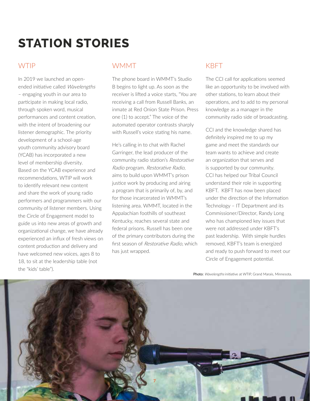### **STATION STORIES**

#### WTIP

In 2019 we launched an openended initiative called Wavelengths – engaging youth in our area to participate in making local radio, through spoken word, musical performances and content creation, with the intent of broadening our listener demographic. The priority development of a school-age youth community advisory board (YCAB) has incorporated a new level of membership diversity. Based on the YCAB experience and recommendations, WTIP will work to identify relevant new content and share the work of young radio performers and programmers with our community of listener members. Using the Circle of Engagement model to guide us into new areas of growth and organizational change, we have already experienced an influx of fresh views on content production and delivery and have welcomed new voices, ages 8 to 18, to sit at the leadership table (not the "kids' table").

#### WMMT

The phone board in WMMT's Studio B begins to light up. As soon as the receiver is lifted a voice starts, "You are receiving a call from Russell Banks, an inmate at Red Onion State Prison. Press one (1) to accept." The voice of the automated operator contrasts sharply with Russell's voice stating his name.

He's calling in to chat with Rachel Garringer, the lead producer of the community radio station's Restorative Radio program. Restorative Radio, aims to build upon WMMT's prison justice work by producing and airing a program that is primarily of, by, and for those incarcerated in WMMT's listening area. WMMT, located in the Appalachian foothills of southeast Kentucky, reaches several state and federal prisons. Russell has been one of the primary contributors during the first season of Restorative Radio, which has just wrapped.

### KBFT

The CCI call for applications seemed like an opportunity to be involved with other stations, to learn about their operations, and to add to my personal knowledge as a manager in the community radio side of broadcasting.

CCI and the knowledge shared has definitely inspired me to up my game and meet the standards our team wants to achieve and create an organization that serves and is supported by our community. CCI has helped our Tribal Council understand their role in supporting KBFT. KBFT has now been placed under the direction of the Information Technology – IT Department and its Commissioner/Director, Randy Long who has championed key issues that were not addressed under KBFT's past leadership. With simple hurdles removed, KBFT's team is energized and ready to push forward to meet our Circle of Engagement potential.

Photo: Wavelengths initiative at WTIP, Grand Marais, Minnesota.

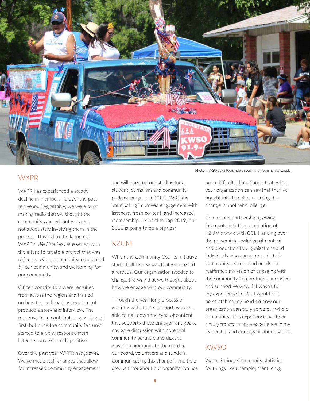

#### **WXPR**

WXPR has experienced a steady decline in membership over the past ten years. Regrettably, we were busy making radio that we thought the community wanted, but we were not adequately involving them in the process. This led to the launch of WXPR's We Live Up Here series, with the intent to create a project that was reflective of our community, co-created by our community, and welcoming for our community.

Citizen contributors were recruited from across the region and trained on how to use broadcast equipment, produce a story and interview. The response from contributors was slow at first, but once the community features started to air, the response from listeners was extremely positive.

Over the past year WXPR has grown. We've made staff changes that allow for increased community engagement and will open up our studios for a student journalism and community podcast program in 2020. WXPR is anticipating improved engagement with listeners, fresh content, and increased membership. It's hard to top 2019, but 2020 is going to be a big year!

#### KZUM

When the Community Counts Initiative started, all I knew was that we needed a refocus. Our organization needed to change the way that we thought about how we engage with our community.

Through the year-long process of working with the CCI cohort, we were able to nail down the type of content that supports these engagement goals, navigate discussion with potential community partners and discuss ways to communicate the need to our board, volunteers and funders. Communicating this change in multiple groups throughout our organization has

Photo: KWSO volunteers ride through their community parade.

been difficult. I have found that, while your organization can say that they've bought into the plan, realizing the change is another challenge.

Community partnership growing into content is the culmination of KZUM's work with CCI. Handing over the power in knowledge of content and production to organizations and individuals who can represent their community's values and needs has reaffirmed my vision of engaging with the community in a profound, inclusive and supportive way. If it wasn't for my experience in CCI, I would still be scratching my head on how our organization can truly serve our whole community. This experience has been a truly transformative experience in my leadership and our organization's vision.

#### KWSO

Warm Springs Community statistics for things like unemployment, drug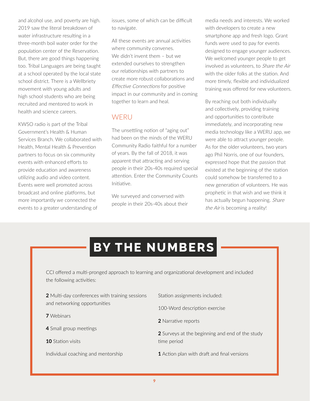and alcohol use, and poverty are high. 2019 saw the literal breakdown of water infrastructure resulting in a three-month boil water order for the population center of the Reservation. But, there are good things happening too. Tribal Languages are being taught at a school operated by the local state school district. There is a Wellbriety movement with young adults and high school students who are being recruited and mentored to work in health and science careers.

KWSO radio is part of the Tribal Government's Health & Human Services Branch. We collaborated with Health, Mental Health & Prevention partners to focus on six community events with enhanced efforts to provide education and awareness utilizing audio and video content. Events were well promoted across broadcast and online platforms, but more importantly we connected the events to a greater understanding of

issues, some of which can be difficult to navigate.

All these events are annual activities where community convenes. We didn't invent them – but we extended ourselves to strengthen our relationships with partners to create more robust collaborations and Effective Connections for positive impact in our community and in coming together to learn and heal.

#### **WERU**

The unsettling notion of "aging out" had been on the minds of the WERU Community Radio faithful for a number of years. By the fall of 2018, it was apparent that attracting and serving people in their 20s-40s required special attention. Enter the Community Counts Initiative.

We surveyed and conversed with people in their 20s-40s about their media needs and interests. We worked with developers to create a new smartphone app and fresh logo. Grant funds were used to pay for events designed to engage younger audiences. We welcomed younger people to get involved as volunteers, to Share the Air with the older folks at the station. And more timely, flexible and individualized training was offered for new volunteers.

By reaching out both individually and collectively, providing training and opportunities to contribute immediately, and incorporating new media technology like a WERU app, we were able to attract younger people. As for the older volunteers, two years ago Phil Norris, one of our founders, expressed hope that the passion that existed at the beginning of the station could somehow be transferred to a new generation of volunteers. He was prophetic in that wish and we think it has actually begun happening. Share the Air is becoming a reality!

### **BY THE NUMBERS**

CCI offered a multi-pronged approach to learning and organizational development and included the following activities:

- **2** Multi-day conferences with training sessions and networking opportunities
- **7** Webinars
- **4** Small group meetings
- **10** Station visits
- Individual coaching and mentorship
- Station assignments included:
- 100-Word description exercise
- **2** Narrative reports
- **2** Surveys at the beginning and end of the study time period
- **1** Action plan with draft and final versions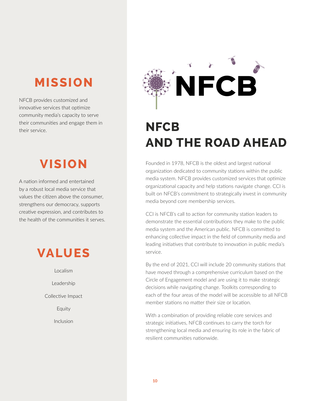### **MISSION**

NFCB provides customized and innovative services that optimize community media's capacity to serve their communities and engage them in their service.

### **VISION**

A nation informed and entertained by a robust local media service that values the citizen above the consumer, strengthens our democracy, supports creative expression, and contributes to the health of the communities it serves.

### **VALUES**

Localism Leadership Collective Impact Equity Inclusion



### **NFCB AND THE ROAD AHEAD**

Founded in 1978, NFCB is the oldest and largest national organization dedicated to community stations within the public media system. NFCB provides customized services that optimize organizational capacity and help stations navigate change. CCI is built on NFCB's commitment to strategically invest in community media beyond core membership services.

CCI is NFCB's call to action for community station leaders to demonstrate the essential contributions they make to the public media system and the American public. NFCB is committed to enhancing collective impact in the field of community media and leading initiatives that contribute to innovation in public media's service.

By the end of 2021, CCI will include 20 community stations that have moved through a comprehensive curriculum based on the Circle of Engagement model and are using it to make strategic decisions while navigating change. Toolkits corresponding to each of the four areas of the model will be accessible to all NFCB member stations no matter their size or location.

With a combination of providing reliable core services and strategic initiatives, NFCB continues to carry the torch for strengthening local media and ensuring its role in the fabric of resilient communities nationwide.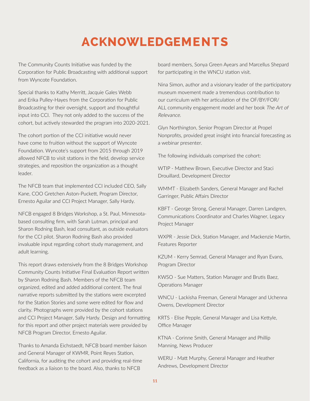### **ACKNOWLEDGEMENTS**

The Community Counts Initiative was funded by the Corporation for Public Broadcasting with additional support from Wyncote Foundation.

Special thanks to Kathy Merritt, Jacquie Gales Webb and Erika Pulley-Hayes from the Corporation for Public Broadcasting for their oversight, support and thoughtful input into CCI. They not only added to the success of the cohort, but actively stewarded the program into 2020-2021.

The cohort portion of the CCI initiative would never have come to fruition without the support of Wyncote Foundation. Wyncote's support from 2015 through 2019 allowed NFCB to visit stations in the field, develop service strategies, and reposition the organization as a thought leader.

The NFCB team that implemented CCI included CEO, Sally Kane, COO Gretchen Aston-Puckett, Program Director, Ernesto Aguilar and CCI Project Manager, Sally Hardy.

NFCB engaged 8 Bridges Workshop, a St. Paul, Minnesotabased consulting firm, with Sarah Lutman, principal and Sharon Rodning Bash, lead consultant, as outside evaluators for the CCI pilot. Sharon Rodning Bash also provided invaluable input regarding cohort study management, and adult learning.

This report draws extensively from the 8 Bridges Workshop Community Counts Initiative Final Evaluation Report written by Sharon Rodning Bash. Members of the NFCB team organized, edited and added additional content. The final narrative reports submitted by the stations were excerpted for the Station Stories and some were edited for flow and clarity. Photographs were provided by the cohort stations and CCI Project Manager, Sally Hardy. Design and formatting for this report and other project materials were provided by NFCB Program Director, Ernesto Aguilar.

Thanks to Amanda Eichstaedt, NFCB board member liaison and General Manager of KWMR, Point Reyes Station, California, for auditing the cohort and providing real-time feedback as a liaison to the board. Also, thanks to NFCB

board members, Sonya Green Ayears and Marcellus Shepard for participating in the WNCU station visit.

Nina Simon, author and a visionary leader of the participatory museum movement made a tremendous contribution to our curriculum with her articulation of the OF/BY/FOR/ ALL community engagement model and her book The Art of Relevance.

Glyn Northington, Senior Program Director at Propel Nonprofits, provided great insight into financial forecasting as a webinar presenter.

The following individuals comprised the cohort:

WTIP - Matthew Brown, Executive Director and Staci Drouillard, Development Director

WMMT - Elizabeth Sanders, General Manager and Rachel Garringer, Public Affairs Director

KBFT - George Strong, General Manager, Darren Landgren, Communications Coordinator and Charles Wagner, Legacy Project Manager

WXPR - Jessie Dick, Station Manager, and Mackenzie Martin, Features Reporter

KZUM - Kerry Semrad, General Manager and Ryan Evans, Program Director

KWSO - Sue Matters, Station Manager and Brutis Baez, Operations Manager

WNCU - Lackisha Freeman, General Manager and Uchenna Owens, Development Director

KRTS - Elise Pepple, General Manager and Lisa Kettyle, Office Manager

KTNA - Corinne Smith, General Manager and Phillip Manning, News Producer

WERU - Matt Murphy, General Manager and Heather Andrews, Development Director